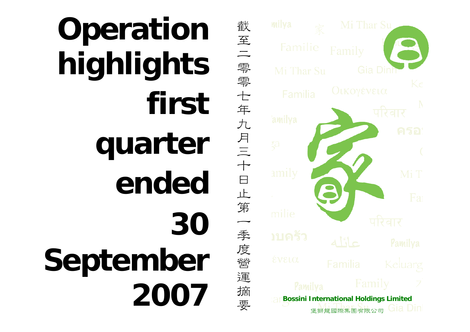## **Operation highlights first quarter ended30 September 2007**

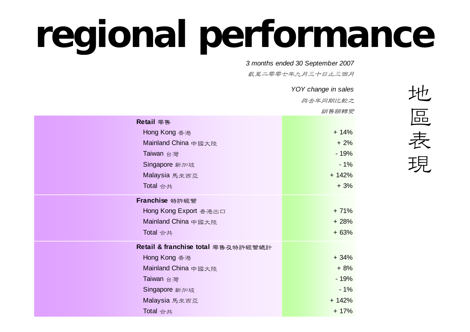## **regional performance**

 *3 months ended 30 September 2007*

武至二零零七年九月三十日止三個月

|                                    | YOY change in sales |
|------------------------------------|---------------------|
|                                    | 與去年同期比較之            |
|                                    | 銷售額轉變               |
| Retail 零售                          |                     |
| Hong Kong 香港                       | $+ 14%$             |
| Mainland China 中國大陸                | $+2%$               |
| Taiwan 台灣                          | $-19%$              |
| Singapore 新加坡                      | $-1%$               |
| Malaysia 馬來西亞                      | $+ 142%$            |
| Total 合共                           | $+3%$               |
| Franchise 特許經營                     |                     |
| Hong Kong Export 香港出口              | $+71%$              |
| Mainland China 中國大陸                | $+28%$              |
| Total 合共                           | $+63%$              |
| Retail & franchise total 零售及特許經營總計 |                     |
| Hong Kong 香港                       | $+34%$              |
| Mainland China 中國大陸                | $+8%$               |
| Taiwan 台灣                          | $-19%$              |
| Singapore 新加坡                      | $-1%$               |
| Malaysia 馬來西亞                      | $+ 142%$            |
| Total 合共                           | $+ 17%$             |
|                                    |                     |

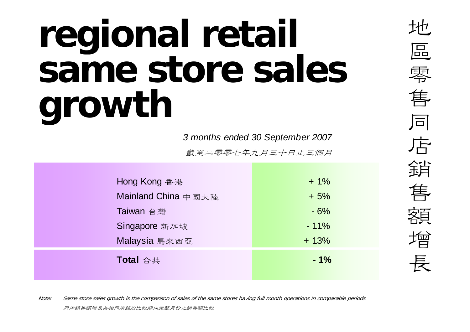## **regional retail same store sales growth**

*3 months ended 30 September 2007*

截至二零零七年九月三十日止三個月

| Hong Kong 香港        | $+1\%$ |
|---------------------|--------|
| Mainland China 中國大陸 | $+5%$  |
| Taiwan 台灣           | $-6%$  |
| Singapore 新加坡       | $-11%$ |
| Malaysia 馬來西亞       | $+13%$ |
| Total 合共            | $-1%$  |
|                     |        |

地區零 售同店銷售額增長

Note: Same store sales growth is the comparison of sales of the same stores having full month operations in comparable periods 同店銷售額增長為相同店舖於比較期內完整月份之銷售額比較